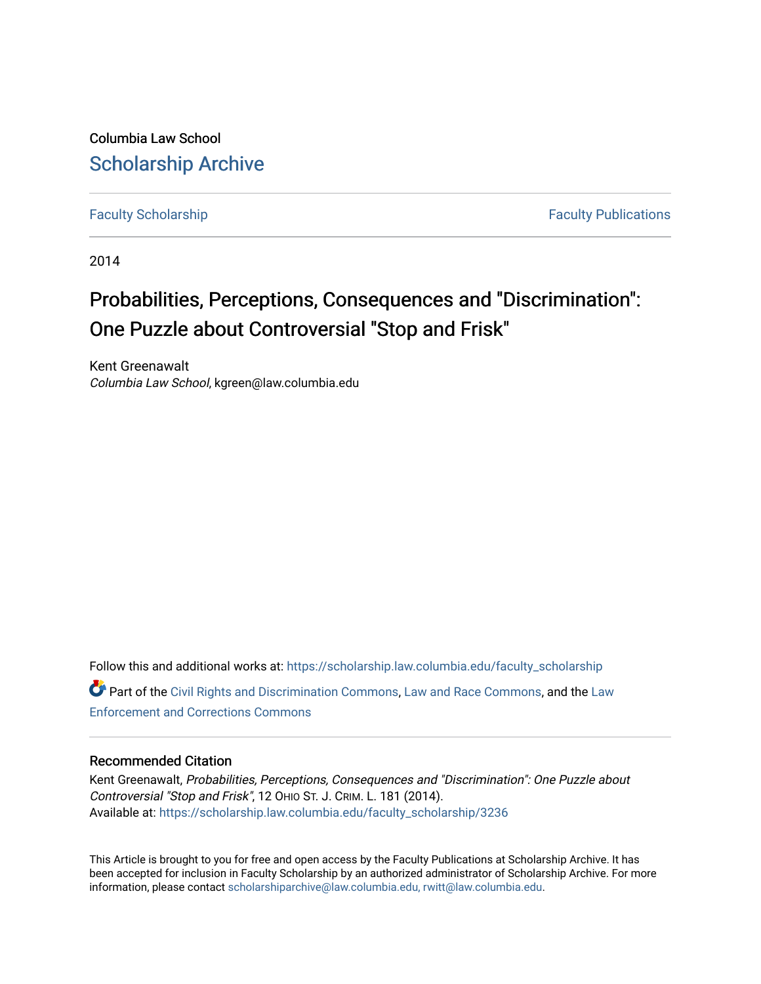Columbia Law School [Scholarship Archive](https://scholarship.law.columbia.edu/) 

[Faculty Scholarship](https://scholarship.law.columbia.edu/faculty_scholarship) **Faculty Scholarship Faculty Publications** 

2014

# Probabilities, Perceptions, Consequences and "Discrimination": One Puzzle about Controversial "Stop and Frisk"

Kent Greenawalt Columbia Law School, kgreen@law.columbia.edu

Follow this and additional works at: [https://scholarship.law.columbia.edu/faculty\\_scholarship](https://scholarship.law.columbia.edu/faculty_scholarship?utm_source=scholarship.law.columbia.edu%2Ffaculty_scholarship%2F3236&utm_medium=PDF&utm_campaign=PDFCoverPages) Part of the [Civil Rights and Discrimination Commons,](http://network.bepress.com/hgg/discipline/585?utm_source=scholarship.law.columbia.edu%2Ffaculty_scholarship%2F3236&utm_medium=PDF&utm_campaign=PDFCoverPages) [Law and Race Commons,](http://network.bepress.com/hgg/discipline/1300?utm_source=scholarship.law.columbia.edu%2Ffaculty_scholarship%2F3236&utm_medium=PDF&utm_campaign=PDFCoverPages) and the [Law](http://network.bepress.com/hgg/discipline/854?utm_source=scholarship.law.columbia.edu%2Ffaculty_scholarship%2F3236&utm_medium=PDF&utm_campaign=PDFCoverPages) [Enforcement and Corrections Commons](http://network.bepress.com/hgg/discipline/854?utm_source=scholarship.law.columbia.edu%2Ffaculty_scholarship%2F3236&utm_medium=PDF&utm_campaign=PDFCoverPages) 

### Recommended Citation

Kent Greenawalt, Probabilities, Perceptions, Consequences and "Discrimination": One Puzzle about Controversial "Stop and Frisk", 12 OHIO ST. J. CRIM. L. 181 (2014). Available at: [https://scholarship.law.columbia.edu/faculty\\_scholarship/3236](https://scholarship.law.columbia.edu/faculty_scholarship/3236?utm_source=scholarship.law.columbia.edu%2Ffaculty_scholarship%2F3236&utm_medium=PDF&utm_campaign=PDFCoverPages)

This Article is brought to you for free and open access by the Faculty Publications at Scholarship Archive. It has been accepted for inclusion in Faculty Scholarship by an authorized administrator of Scholarship Archive. For more information, please contact [scholarshiparchive@law.columbia.edu, rwitt@law.columbia.edu](mailto:scholarshiparchive@law.columbia.edu,%20rwitt@law.columbia.edu).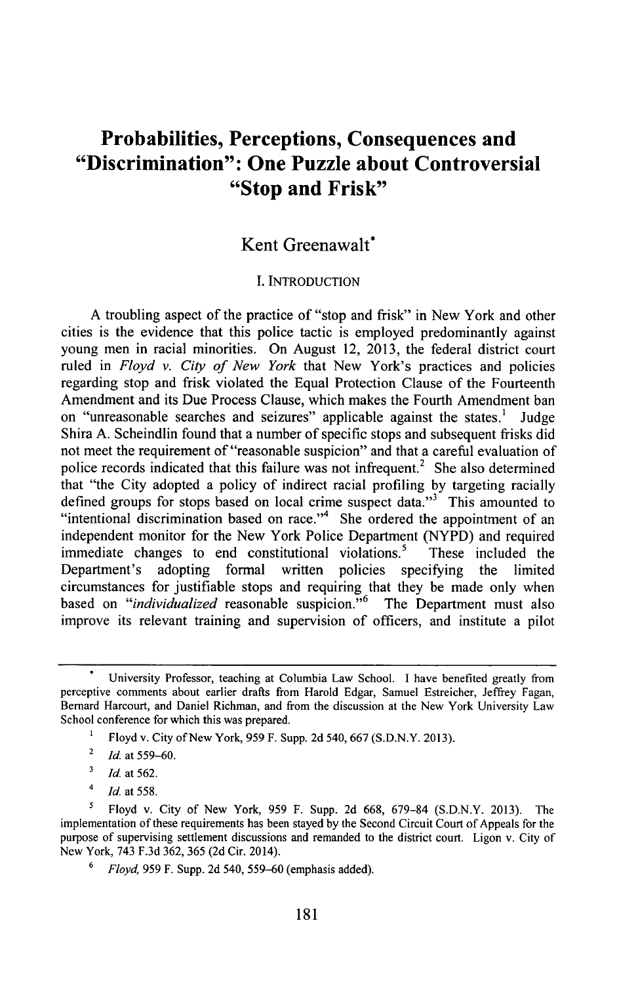# **Probabilities, Perceptions, Consequences and "Discrimination": One Puzzle about Controversial "Stop and Frisk"**

## Kent Greenawalt\*

#### I. INTRODUCTION

A troubling aspect of the practice of "stop and frisk" in New York and other cities is the evidence that this police tactic is employed predominantly against young men in racial minorities. On August 12, 2013, the federal district court ruled in *Floyd v. City of New York* that New York's practices and policies regarding stop and frisk violated the Equal Protection Clause of the Fourteenth Amendment and its Due Process Clause, which makes the Fourth Amendment ban on "unreasonable searches and seizures" applicable against the states.' Judge Shira A. Scheindlin found that a number of specific stops and subsequent frisks did not meet the requirement of "reasonable suspicion" and that a careful evaluation of police records indicated that this failure was not infrequent.<sup>2</sup> She also determined that "the City adopted a policy of indirect racial profiling by targeting racially defined groups for stops based on local crime suspect data." $3^3$  This amounted to "intentional discrimination based on race."<sup>4</sup> She ordered the appointment of an independent monitor for the New York Police Department (NYPD) and required immediate changes to end constitutional violations.<sup>5</sup> These included the Department's adopting formal written policies specifying the limited circumstances for justifiable stops and requiring that they be made only when based on *"individualized* reasonable suspicion."6 The Department must also improve its relevant training and supervision of officers, and institute a pilot

University Professor, teaching at Columbia Law School. I have benefited greatly from perceptive comments about earlier drafts from Harold Edgar, Samuel Estreicher, Jeffrey Fagan, Bernard Harcourt, and Daniel Richman, and from the discussion at the New York University Law School conference for which this was prepared.

<sup>&</sup>lt;sup>1</sup> Floyd v. City of New York, 959 F. Supp. 2d 540, 667 (S.D.N.Y. 2013).

<sup>&</sup>lt;sup>2</sup> *Id.* at 559–60.

<sup>3</sup> *Id.* at 562.

 $^{4}$  *Id.* at 558.

**<sup>5</sup>** Floyd v. City of New York, 959 F. Supp. 2d 668, 679-84 (S.D.N.Y. 2013). The implementation of these requirements has been stayed by the Second Circuit Court of Appeals for the purpose of supervising settlement discussions and remanded to the district court. Ligon v. City of New York, 743 F.3d 362, 365 (2d Cir. 2014).

*<sup>6</sup> Floyd,* 959 F. Supp. 2d 540, 559-60 (emphasis added).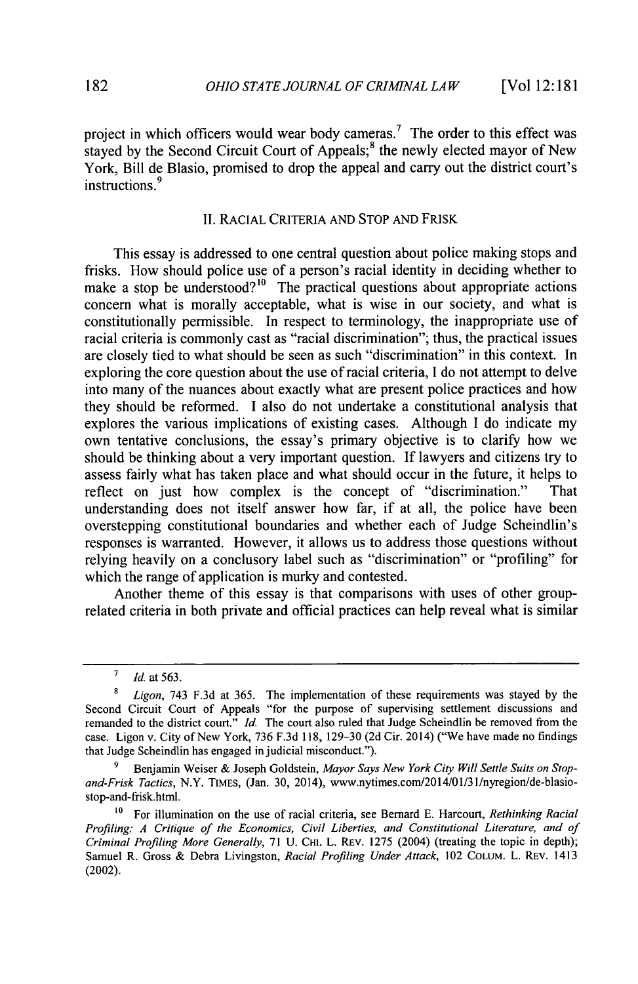project in which officers would wear body cameras.<sup>7</sup> The order to this effect was stayed by the Second Circuit Court of Appeals;<sup>8</sup> the newly elected mayor of New York, Bill de Blasio, promised to drop the appeal and carry out the district court's instructions.<sup>9</sup>

#### II. RACIAL CRITERIA AND STOP **AND** FRISK

This essay is addressed to one central question about police making stops and frisks. How should police use of a person's racial identity in deciding whether to make a stop be understood?<sup>10</sup> The practical questions about appropriate actions concern what is morally acceptable, what is wise in our society, and what is constitutionally permissible. In respect to terminology, the inappropriate use of racial criteria is commonly cast as "racial discrimination"; thus, the practical issues are closely tied to what should be seen as such "discrimination" in this context. In exploring the core question about the use of racial criteria, I do not attempt to delve into many of the nuances about exactly what are present police practices and how they should be reformed. I also do not undertake a constitutional analysis that explores the various implications of existing cases. Although I do indicate my own tentative conclusions, the essay's primary objective is to clarify how we should be thinking about a very important question. If lawyers and citizens try to assess fairly what has taken place and what should occur in the future, it helps to reflect on just how complex is the concept of "discrimination." That understanding does not itself answer how far, if at all, the police have been overstepping constitutional boundaries and whether each of Judge Scheindlin's responses is warranted. However, it allows us to address those questions without relying heavily on a conclusory label such as "discrimination" or "profiling" for which the range of application is murky and contested.

Another theme of this essay is that comparisons with uses of other grouprelated criteria in both private and official practices can help reveal what is similar

**<sup>&#</sup>x27;** *Id.* at 563.

*<sup>8</sup> Ligon,* 743 F.3d at 365. The implementation of these requirements was stayed by the Second Circuit Court of Appeals "for the purpose of supervising settlement discussions and remanded to the district court." *Id.* The court also ruled that Judge Scheindlin be removed from the case. Ligon v. City of New York, 736 F.3d 118, 129-30 (2d Cir. 2014) ("We have made no findings that Judge Scheindlin has engaged in judicial misconduct.").

**<sup>9</sup>** Benjamin Weiser & Joseph Goldstein, *Mayor Says New York City Will Settle Suits on Stopand-Frisk Tactics,* N.Y. TIMES, (Jan. 30, 2014), www.nytimes.com/2014/01/31/nyregion/de-blasiostop-and-frisk.html.

**to** For illumination on the use of racial criteria, see Bernard E. Harcourt, *Rethinking Racial Profiling: A Critique of the Economics, Civil Liberties, and Constitutional Literature, and of Criminal Profiling More Generally,* 71 U. CHI. L. REV. 1275 (2004) (treating the topic in depth); Samuel R. Gross & Debra Livingston, *Racial Profiling Under Attack,* 102 COLUM. L. REV. 1413 (2002).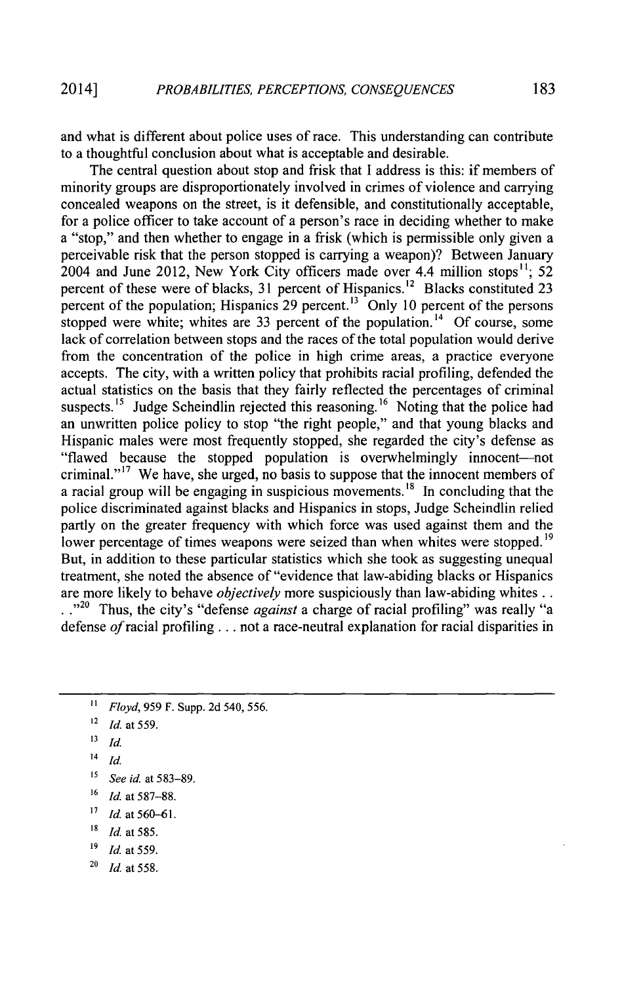and what is different about police uses of race. This understanding can contribute to a thoughtful conclusion about what is acceptable and desirable.

The central question about stop and frisk that I address is this: if members of minority groups are disproportionately involved in crimes of violence and carrying concealed weapons on the street, is it defensible, and constitutionally acceptable, for a police officer to take account of a person's race in deciding whether to make a "stop," and then whether to engage in a frisk (which is permissible only given a perceivable risk that the person stopped is carrying a weapon)? Between January 2004 and June 2012, New York City officers made over 4.4 million stops<sup>11</sup>: 52 percent of these were of blacks, 31 percent of Hispanics.<sup>12</sup> Blacks constituted 23 percent of the population; Hispanics 29 percent.<sup>13</sup> Only 10 percent of the persons stopped were white; whites are 33 percent of the population.<sup>14</sup> Of course, some lack of correlation between stops and the races of the total population would derive from the concentration of the police in high crime areas, a practice everyone accepts. The city, with a written policy that prohibits racial profiling, defended the actual statistics on the basis that they fairly reflected the percentages of criminal suspects.<sup>15</sup> Judge Scheindlin rejected this reasoning.<sup>16</sup> Noting that the police had an unwritten police policy to stop "the right people," and that young blacks and Hispanic males were most frequently stopped, she regarded the city's defense as "flawed because the stopped population is overwhelmingly innocent-not criminal."<sup>17</sup> We have, she urged, no basis to suppose that the innocent members of a racial group will be engaging in suspicious movements.<sup>18</sup> In concluding that the police discriminated against blacks and Hispanics in stops, Judge Scheindlin relied partly on the greater frequency with which force was used against them and the lower percentage of times weapons were seized than when whites were stopped.<sup>19</sup> But, in addition to these particular statistics which she took as suggesting unequal treatment, she noted the absence of "evidence that law-abiding blacks or Hispanics are more likely to behave *objectively* more suspiciously than law-abiding whites.. ..<sup>20</sup> Thus, the city's "defense *against* a charge of racial profiling" was really "a defense *of* racial profiling... not a race-neutral explanation for racial disparities in

- **16** Id. at 587-88.
- *17 Id. at* **560-6 1.**
- *18* Id. at 585.
- **'9** Id. *at 559.*
- **<sup>20</sup>**Id. *at 558.*

**<sup>11</sup>** *Floyd, 959* F. Supp. 2d 540, 556.

**<sup>12</sup>** Id. at 559.

**<sup>&#</sup>x27;3** Id.

 $14$  *Id.* 

**<sup>15</sup>** *See* id. at 583-89.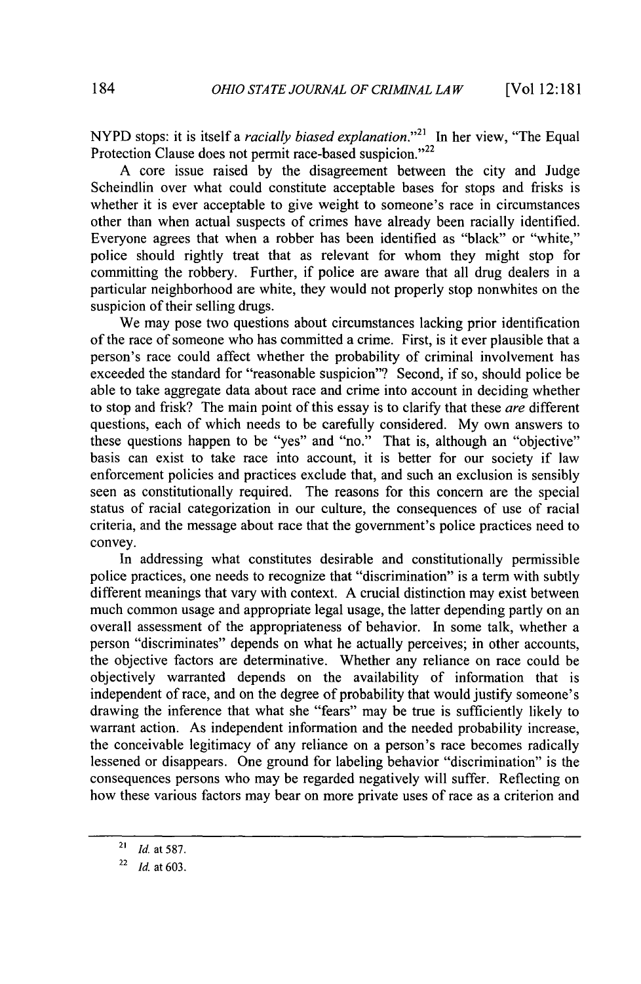NYPD stops: it is itself a *racially biased explanation.21* In her view, "The Equal Protection Clause does not permit race-based suspicion."<sup>22</sup>

A core issue raised by the disagreement between the city and Judge Scheindlin over what could constitute acceptable bases for stops and frisks is whether it is ever acceptable to give weight to someone's race in circumstances other than when actual suspects of crimes have already been racially identified. Everyone agrees that when a robber has been identified as "black" or "white," police should rightly treat that as relevant for whom they might stop for committing the robbery. Further, if police are aware that all drug dealers in a particular neighborhood are white, they would not properly stop nonwhites on the suspicion of their selling drugs.

We may pose two questions about circumstances lacking prior identification of the race of someone who has committed a crime. First, is it ever plausible that a person's race could affect whether the probability of criminal involvement has exceeded the standard for "reasonable suspicion"? Second, if so, should police be able to take aggregate data about race and crime into account in deciding whether to stop and frisk? The main point of this essay is to clarify that these *are* different questions, each of which needs to be carefully considered. My own answers to these questions happen to be "yes" and "no." That is, although an "objective" basis can exist to take race into account, it is better for our society if law enforcement policies and practices exclude that, and such an exclusion is sensibly seen as constitutionally required. The reasons for this concern are the special status of racial categorization in our culture, the consequences of use of racial criteria, and the message about race that the government's police practices need to convey.

In addressing what constitutes desirable and constitutionally permissible police practices, one needs to recognize that "discrimination" is a term with subtly different meanings that vary with context. A crucial distinction may exist between much common usage and appropriate legal usage, the latter depending partly on an overall assessment of the appropriateness of behavior. In some talk, whether a person "discriminates" depends on what he actually perceives; in other accounts, the objective factors are determinative. Whether any reliance on race could be objectively warranted depends on the availability of information that is independent of race, and on the degree of probability that would justify someone's drawing the inference that what she "fears" may be true is sufficiently likely to warrant action. As independent information and the needed probability increase, the conceivable legitimacy of any reliance on a person's race becomes radically lessened or disappears. One ground for labeling behavior "discrimination" is the consequences persons who may be regarded negatively will suffer. Reflecting on how these various factors may bear on more private uses of race as a criterion and

*<sup>2!</sup> Id.* at 587.

**<sup>22</sup>***Idat* **603.**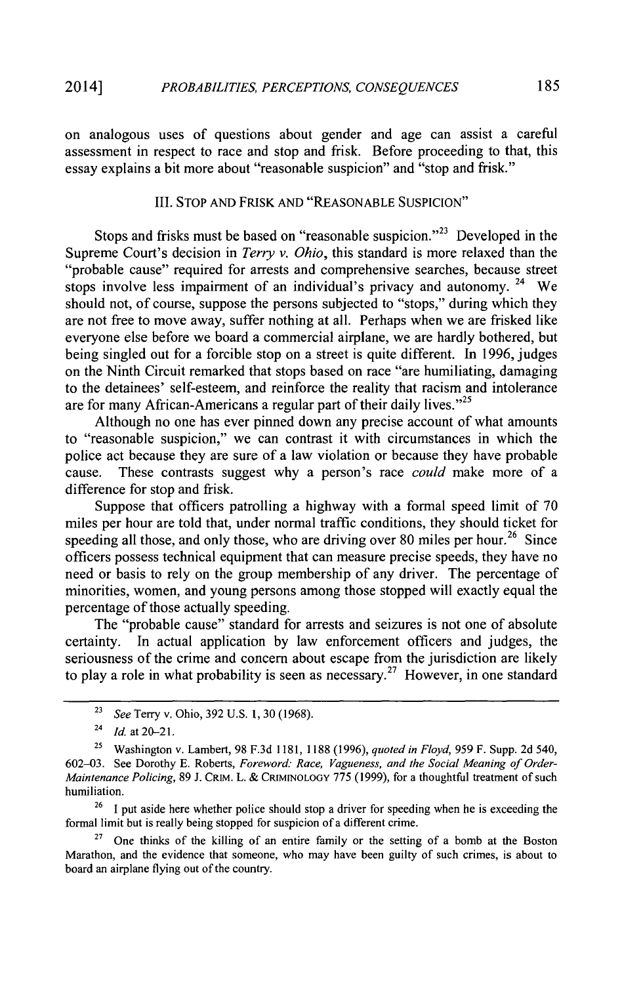on analogous uses of questions about gender and age can assist a careful assessment in respect to race and stop and frisk. Before proceeding to that, this essay explains a bit more about "reasonable suspicion" and "stop and frisk."

#### III. STOP **AND** FRISK **AND** "REASONABLE SUSPICION"

Stops and frisks must be based on "reasonable suspicion."<sup>23</sup> Developed in the Supreme Court's decision in *Terry v. Ohio,* this standard is more relaxed than the "probable cause" required for arrests and comprehensive searches, because street stops involve less impairment of an individual's privacy and autonomy.  $24$  We should not, of course, suppose the persons subjected to "stops," during which they are not free to move away, suffer nothing at all. Perhaps when we are frisked like everyone else before we board a commercial airplane, we are hardly bothered, but being singled out for a forcible stop on a street is quite different. In 1996, judges on the Ninth Circuit remarked that stops based on race "are humiliating, damaging to the detainees' self-esteem, and reinforce the reality that racism and intolerance are for many African-Americans a regular part of their daily lives."<sup>25</sup>

Although no one has ever pinned down any precise account of what amounts to "reasonable suspicion," we can contrast it with circumstances in which the police act because they are sure of a law violation or because they have probable cause. These contrasts suggest why a person's race *could* make more of a difference for stop and frisk.

Suppose that officers patrolling a highway with a formal speed limit of **70** miles per hour are told that, under normal traffic conditions, they should ticket for speeding all those, and only those, who are driving over 80 miles per hour.<sup>26</sup> Since officers possess technical equipment that can measure precise speeds, they have no need or basis to rely on the group membership of any driver. The percentage of minorities, women, and young persons among those stopped will exactly equal the percentage of those actually speeding.

The "probable cause" standard for arrests and seizures is not one of absolute certainty. In actual application by law enforcement officers and judges, the seriousness of the crime and concern about escape from the jurisdiction are likely to play a role in what probability is seen as necessary.<sup>27</sup> However, in one standard

<sup>26</sup> I put aside here whether police should stop a driver for speeding when he is exceeding the formal limit but is really being stopped for suspicion of a different crime.

27 One thinks of the killing of an entire family or the setting of a bomb at the Boston Marathon, and the evidence that someone, who may have been guilty of such crimes, is about to board an airplane flying out of the country.

<sup>23</sup>*See* Terry v. Ohio, 392 U.S. **1,** 30 (1968).

 $^{24}$  *Id.* at 20-21.

<sup>25</sup> Washington v. Lambert, 98 F.3d 1181, 1188 (1996), *quoted in Floyd,* 959 F. Supp. 2d 540, 602-03. See Dorothy E. Roberts, *Foreword: Race, Vagueness, and the Social Meaning of Order-Maintenance Policing,* 89 J. CRIM. L. & **CRIMINOLOGY** 775 (1999), for a thoughtful treatment of such humiliation.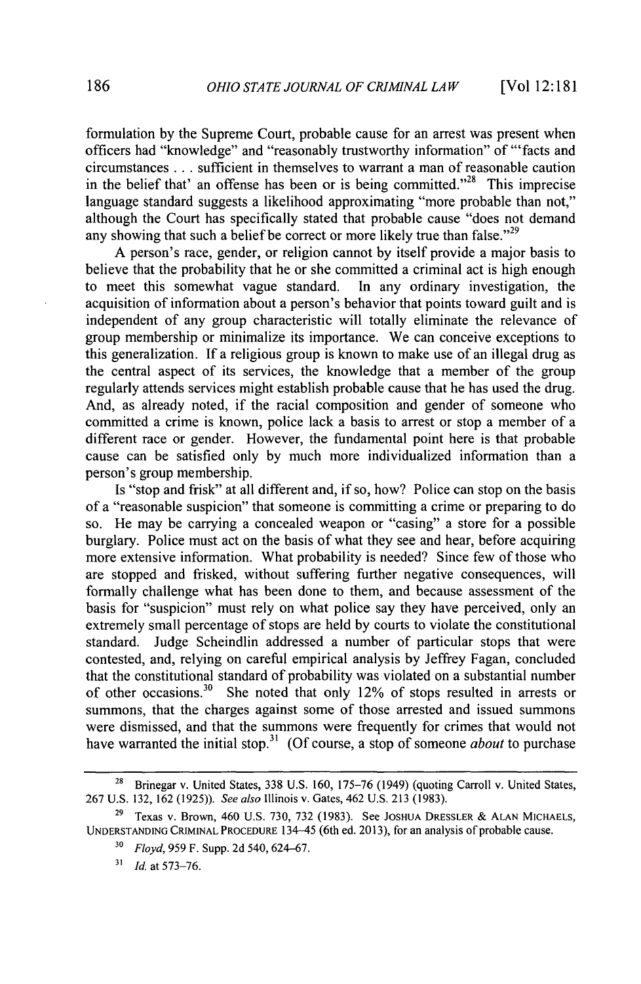formulation by the Supreme Court, probable cause for an arrest was present when officers had "knowledge" and "reasonably trustworthy information" of "'facts and circumstances **...** sufficient in themselves to warrant a man of reasonable caution in the belief that' an offense has been or is being committed. $^{328}$  This imprecise language standard suggests a likelihood approximating "more probable than not," although the Court has specifically stated that probable cause "does not demand any showing that such a belief be correct or more likely true than false.<sup> $29$ </sup>

A person's race, gender, or religion cannot by itself provide a major basis to believe that the probability that he or she committed a criminal act is high enough to meet this somewhat vague standard. In any ordinary investigation, the acquisition of information about a person's behavior that points toward guilt and is independent of any group characteristic will totally eliminate the relevance of group membership or minimalize its importance. We can conceive exceptions to this generalization. If a religious group is known to make use of an illegal drug as the central aspect of its services, the knowledge that a member of the group regularly attends services might establish probable cause that he has used the drug. And, as already noted, if the racial composition and gender of someone who committed a crime is known, police lack a basis to arrest or stop a member of a different race or gender. However, the fundamental point here is that probable cause can be satisfied only by much more individualized information than a person's group membership.

Is "stop and frisk" at all different and, if so, how? Police can stop on the basis of a "reasonable suspicion" that someone is committing a crime or preparing to do so. He may be carrying a concealed weapon or "casing" a store for a possible burglary. Police must act on the basis of what they see and hear, before acquiring more extensive information. What probability is needed? Since few of those who are stopped and frisked, without suffering further negative consequences, will formally challenge what has been done to them, and because assessment of the basis for "suspicion" must rely on what police say they have perceived, only an extremely small percentage of stops are held by courts to violate the constitutional standard. Judge Scheindlin addressed a number of particular stops that were contested, and, relying on careful empirical analysis by Jeffrey Fagan, concluded that the constitutional standard of probability was violated on a substantial number of other occasions.<sup>30</sup> She noted that only  $12\%$  of stops resulted in arrests or She noted that only 12% of stops resulted in arrests or summons, that the charges against some of those arrested and issued summons were dismissed, and that the summons were frequently for crimes that would not have warranted the initial stop.<sup>31</sup> (Of course, a stop of someone *about* to purchase

<sup>&</sup>lt;sup>28</sup> Brinegar v. United States, 338 U.S. 160, 175-76 (1949) (quoting Carroll v. United States, 267 U.S. 132, 162 (1925)). *See also* Illinois v. Gates, 462 U.S. 213 (1983).

**<sup>29</sup>**Texas v. Brown, 460 U.S. 730, 732 (1983). See **JOSHUA** DRESSLER & **ALAN** MICHAELS, **UNDERSTANDING** CRIMINAL **PROCEDURE** 134-45 (6th ed. 2013), for an analysis of probable cause.

**<sup>30</sup>***Floyd,* 959 F. Supp. 2d 540, 624-67.

**<sup>31</sup>** *Id.* at 573-76.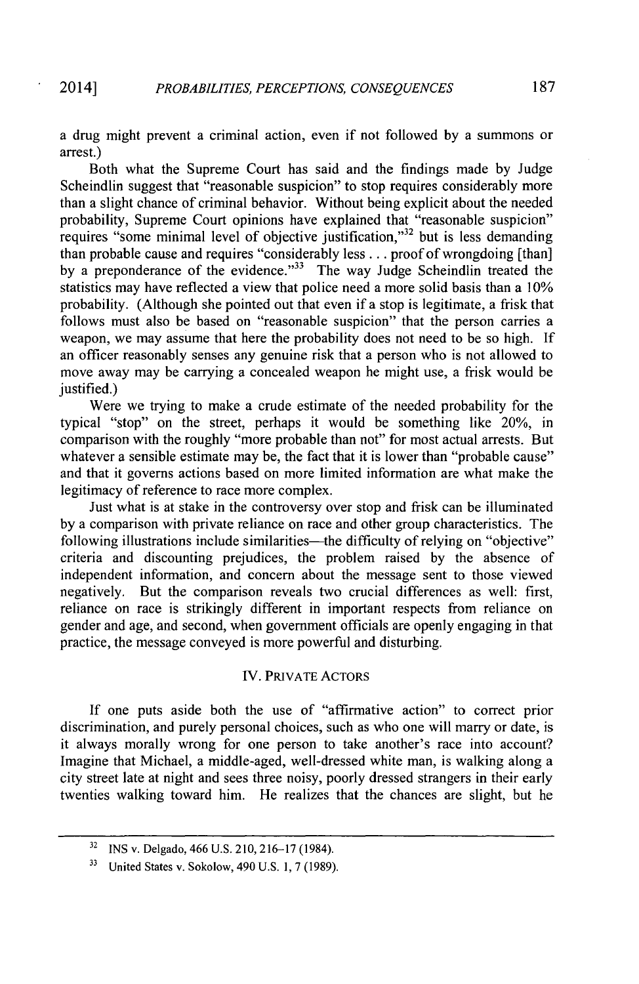a drug might prevent a criminal action, even if not followed by a summons or arrest.)

Both what the Supreme Court has said and the findings made by Judge Scheindlin suggest that "reasonable suspicion" to stop requires considerably more than a slight chance of criminal behavior. Without being explicit about the needed probability, Supreme Court opinions have explained that "reasonable suspicion" requires "some minimal level of objective justification,"<sup>32</sup> but is less demanding than probable cause and requires "considerably less . . . proof of wrongdoing [than] by a preponderance of the evidence."<sup> $33$ </sup> The way Judge Scheindlin treated the statistics may have reflected a view that police need a more solid basis than a 10% probability. (Although she pointed out that even if a stop is legitimate, a frisk that follows must also be based on "reasonable suspicion" that the person carries a weapon, we may assume that here the probability does not need to be so high. If an officer reasonably senses any genuine risk that a person who is not allowed to move away may be carrying a concealed weapon he might use, a frisk would be justified.)

Were we trying to make a crude estimate of the needed probability for the typical "stop" on the street, perhaps it would be something like 20%, in comparison with the roughly "more probable than not" for most actual arrests. But whatever a sensible estimate may be, the fact that it is lower than "probable cause" and that it governs actions based on more limited information are what make the legitimacy of reference to race more complex.

Just what is at stake in the controversy over stop and frisk can be illuminated by a comparison with private reliance on race and other group characteristics. The following illustrations include similarities—the difficulty of relying on "objective" criteria and discounting prejudices, the problem raised by the absence of independent information, and concern about the message sent to those viewed negatively. But the comparison reveals two crucial differences as well: first, reliance on race is strikingly different in important respects from reliance on gender and age, and second, when government officials are openly engaging in that practice, the message conveyed is more powerful and disturbing.

#### IV. PRIVATE ACTORS

If one puts aside both the use of "affirmative action" to correct prior discrimination, and purely personal choices, such as who one will marry or date, is it always morally wrong for one person to take another's race into account? Imagine that Michael, a middle-aged, well-dressed white man, is walking along a city street late at night and sees three noisy, poorly dressed strangers in their early twenties walking toward him. He realizes that the chances are slight, but he

<sup>32</sup> INS v. Delgado, 466 U.S. 210, 216-17 (1984).

**<sup>33</sup>** United States v. Sokolow, 490 U.S. 1, 7 (1989).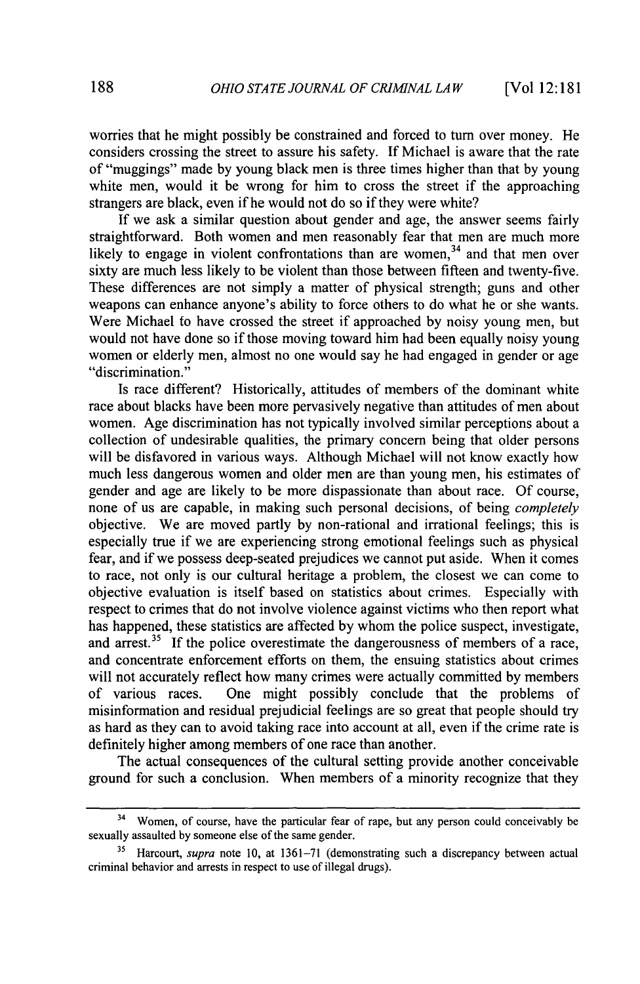worries that he might possibly be constrained and forced to turn over money. He considers crossing the street to assure his safety. If Michael is aware that the rate of "muggings" made **by** young black men is three times higher than that **by** young white men, would it be wrong for him to cross the street if the approaching strangers are black, even if he would not do so if they were white?

If we ask a similar question about gender and age, the answer seems fairly straightforward. Both women and men reasonably fear that men are much more likely to engage in violent confrontations than are women,  $34$  and that men over sixty are much less likely to be violent than those between fifteen and twenty-five. These differences are not simply a matter of physical strength; guns and other weapons can enhance anyone's ability to force others to do what he or she wants. Were Michael to have crossed the street if approached **by** noisy young men, but would not have done so if those moving toward him had been equally noisy young women or elderly men, almost no one would say he had engaged in gender or age "discrimination."

Is race different? Historically, attitudes of members of the dominant white race about blacks have been more pervasively negative than attitudes of men about women. Age discrimination has not typically involved similar perceptions about a collection of undesirable qualities, the primary concern being that older persons will be disfavored in various ways. Although Michael will not know exactly how much less dangerous women and older men are than young men, his estimates of gender and age are likely to be more dispassionate than about race. Of course, none of us are capable, in making such personal decisions, of being *completely* objective. We are moved partly **by** non-rational and irrational feelings; this is especially true if we are experiencing strong emotional feelings such as physical fear, and if we possess deep-seated prejudices we cannot put aside. When it comes to race, not only is our cultural heritage a problem, the closest we can come to objective evaluation is itself based on statistics about crimes. Especially with respect to crimes that do not involve violence against victims who then report what has happened, these statistics are affected **by** whom the police suspect, investigate, and arrest.<sup>35</sup> If the police overestimate the dangerousness of members of a race, and concentrate enforcement efforts on them, the ensuing statistics about crimes will not accurately reflect how many crimes were actually committed **by** members of various races. One might possibly conclude that the problems of misinformation and residual prejudicial feelings are so great that people should try as hard as they can to avoid taking race into account at all, even if the crime rate is definitely higher among members of one race than another.

The actual consequences of the cultural setting provide another conceivable ground for such a conclusion. When members of a minority recognize that they

<sup>&</sup>lt;sup>34</sup> Women, of course, have the particular fear of rape, but any person could conceivably be sexually assaulted **by** someone else of the same gender.

**<sup>35</sup>**Harcourt, *supra* note 10, at 1361-71 (demonstrating such a discrepancy between actual criminal behavior and arrests in respect to use of illegal drugs).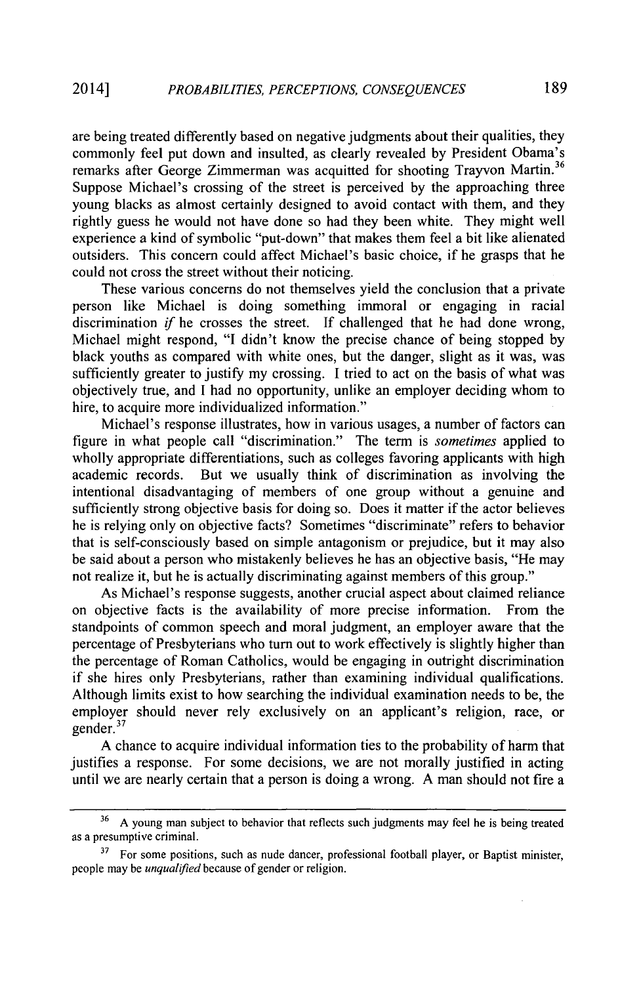are being treated differently based on negative judgments about their qualities, they commonly feel put down and insulted, as clearly revealed by President Obama's remarks after George Zimmerman was acquitted for shooting Trayvon Martin.<sup>36</sup> Suppose Michael's crossing of the street is perceived by the approaching three young blacks as almost certainly designed to avoid contact with them, and they rightly guess he would not have done so had they been white. They might well experience a kind of symbolic "put-down" that makes them feel a bit like alienated outsiders. This concern could affect Michael's basic choice, if he grasps that he could not cross the street without their noticing.

These various concerns do not themselves yield the conclusion that a private person like Michael is doing something immoral or engaging in racial discrimination if he crosses the street. If challenged that he had done wrong, Michael might respond, "I didn't know the precise chance of being stopped by black youths as compared with white ones, but the danger, slight as it was, was sufficiently greater to justify my crossing. I tried to act on the basis of what was objectively true, and I had no opportunity, unlike an employer deciding whom to hire, to acquire more individualized information."

Michael's response illustrates, how in various usages, a number of factors can figure in what people call "discrimination." The term is *sometimes* applied to wholly appropriate differentiations, such as colleges favoring applicants with high academic records. But we usually think of discrimination as involving the intentional disadvantaging of members of one group without a genuine and sufficiently strong objective basis for doing so. Does it matter if the actor believes he is relying only on objective facts? Sometimes "discriminate" refers to behavior that is self-consciously based on simple antagonism or prejudice, but it may also be said about a person who mistakenly believes he has an objective basis, "He may not realize it, but he is actually discriminating against members of this group."

As Michael's response suggests, another crucial aspect about claimed reliance on objective facts is the availability of more precise information. From the standpoints of common speech and moral judgment, an employer aware that the percentage of Presbyterians who turn out to work effectively is slightly higher than the percentage of Roman Catholics, would be engaging in outright discrimination if she hires only Presbyterians, rather than examining individual qualifications. Although limits exist to how searching the individual examination needs to be, the employer should never rely exclusively on an applicant's religion, race, or gender. $37$ 

A chance to acquire individual information ties to the probability of harm that justifies a response. For some decisions, we are not morally justified in acting until we are nearly certain that a person is doing a wrong. A man should not fire a

**<sup>36</sup> A** young man subject to behavior that reflects such judgments may feel he is being treated as a presumptive criminal.

<sup>&</sup>lt;sup>37</sup> For some positions, such as nude dancer, professional football player, or Baptist minister, people may be *unqualified* because of gender or religion.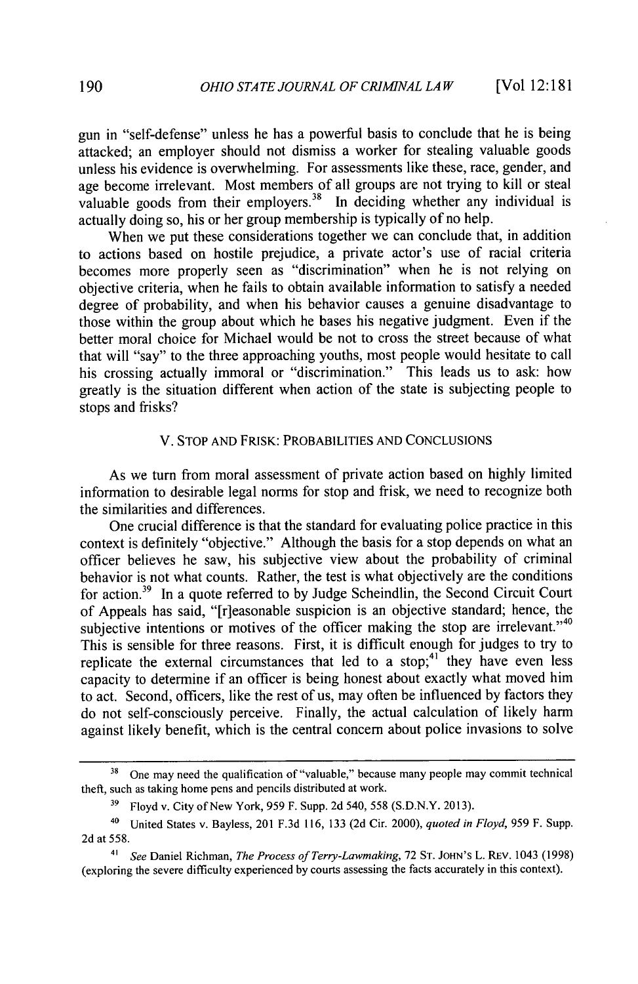gun in "self-defense" unless he has a powerful basis to conclude that he is being attacked; an employer should not dismiss a worker for stealing valuable goods unless his evidence is overwhelming. For assessments like these, race, gender, and age become irrelevant. Most members of all groups are not trying to kill or steal valuable goods from their employers.<sup>38</sup> In deciding whether any individual is actually doing so, his or her group membership is typically of no help.

When we put these considerations together we can conclude that, in addition to actions based on hostile prejudice, a private actor's use of racial criteria becomes more properly seen as "discrimination" when he is not relying on objective criteria, when he fails to obtain available information to satisfy a needed degree of probability, and when his behavior causes a genuine disadvantage to those within the group about which he bases his negative judgment. Even if the better moral choice for Michael would be not to cross the street because of what that will "say" to the three approaching youths, most people would hesitate to call his crossing actually immoral or "discrimination." This leads us to ask: how greatly is the situation different when action of the state is subjecting people to stops and frisks?

#### V. STOP AND FRISK: PROBABILITIES AND CONCLUSIONS

As we turn from moral assessment of private action based on highly limited information to desirable legal norms for stop and frisk, we need to recognize both the similarities and differences.

One crucial difference is that the standard for evaluating police practice in this context is definitely "objective." Although the basis for a stop depends on what an officer believes he saw, his subjective view about the probability of criminal behavior is not what counts. Rather, the test is what objectively are the conditions for action.39 In a quote referred to by Judge Scheindlin, the Second Circuit Court of Appeals has said, "[r]easonable suspicion is an objective standard; hence, the subjective intentions or motives of the officer making the stop are irrelevant." $40$ This is sensible for three reasons. First, it is difficult enough for judges to try to replicate the external circumstances that led to a stop;<sup>41</sup> they have even less capacity to determine if an officer is being honest about exactly what moved him to act. Second, officers, like the rest of us, may often be influenced by factors they do not self-consciously perceive. Finally, the actual calculation of likely harm against likely benefit, which is the central concern about police invasions to solve

<sup>&</sup>lt;sup>38</sup> One may need the qualification of "valuable," because many people may commit technical theft, such as taking home pens and pencils distributed at work.

**<sup>39</sup>** Floyd v. City of New York, 959 F. Supp. 2d 540, 558 (S.D.N.Y. 2013).

<sup>40</sup> United States v. Bayless, 201 F.3d 116, 133 (2d Cir. 2000), *quoted in Floyd,* 959 F. Supp. 2d at 558.

**<sup>41</sup>** *See* Daniel Richman, *The Process of Terry-Lawmaking,* 72 **ST.** JOHN's L. REv. 1043 (1998) (exploring the severe difficulty experienced by courts assessing the facts accurately in this context).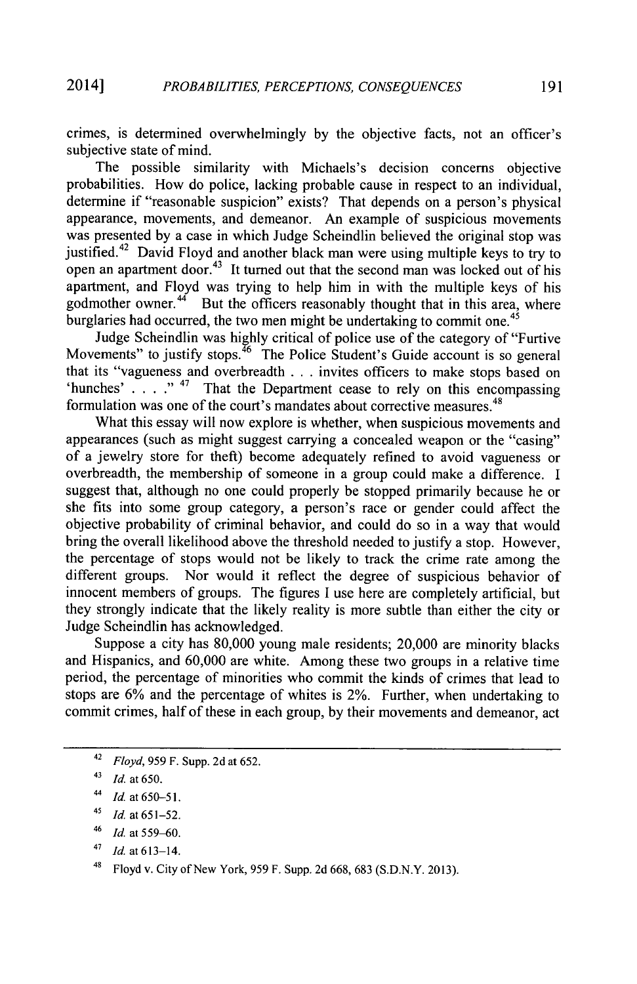crimes, is determined overwhelmingly by the objective facts, not an officer's subjective state of mind.

The possible similarity with Michaels's decision concerns objective probabilities. How do police, lacking probable cause in respect to an individual, determine if "reasonable suspicion" exists? That depends on a person's physical appearance, movements, and demeanor. An example of suspicious movements was presented by a case in which Judge Scheindlin believed the original stop was justified.42 David Floyd and another black man were using multiple keys to try to open an apartment door.<sup>43</sup> It turned out that the second man was locked out of his apartment, and Floyd was trying to help him in with the multiple keys of his godmother owner. $44$  But the officers reasonably thought that in this area, where burglaries had occurred, the two men might be undertaking to commit one.<sup>45</sup>

Judge Scheindlin was highly critical of police use of the category of "Furtive Movements" to justify stops.<sup>46</sup> The Police Student's Guide account is so general that its "vagueness and overbreadth . . . invites officers to make stops based on 'hunches' . . . ." 47 That the Department cease to rely on this encompassing formulation was one of the court's mandates about corrective measures.<sup>48</sup>

What this essay will now explore is whether, when suspicious movements and appearances (such as might suggest carrying a concealed weapon or the "casing" of a jewelry store for theft) become adequately refined to avoid vagueness or overbreadth, the membership of someone in a group could make a difference. I suggest that, although no one could properly be stopped primarily because he or she fits into some group category, a person's race or gender could affect the objective probability of criminal behavior, and could do so in a way that would bring the overall likelihood above the threshold needed to justify a stop. However, the percentage of stops would not be likely to track the crime rate among the different groups. Nor would it reflect the degree of suspicious behavior of innocent members of groups. The figures **I** use here are completely artificial, but they strongly indicate that the likely reality is more subtle than either the city or Judge Scheindlin has acknowledged.

Suppose a city has 80,000 young male residents; 20,000 are minority blacks and Hispanics, and 60,000 are white. Among these two groups in a relative time period, the percentage of minorities who commit the kinds of crimes that lead to stops are 6% and the percentage of whites is 2%. Further, when undertaking to commit crimes, half of these in each group, by their movements and demeanor, act

<sup>42</sup>*Floyd,* 959 F. Supp. 2d at 652.

<sup>41</sup>*Id.* at **650.**

<sup>44</sup>*Id.* at **650-51.**

*<sup>41</sup>Id.* at 651-52.

*<sup>46</sup> Id.* at 559-60.

**<sup>48</sup>***ld.* at 613-14.

<sup>48</sup> Floyd v. City of New York, **959** F. Supp. **2d 668, 683 (S.D.N.Y. 2013).**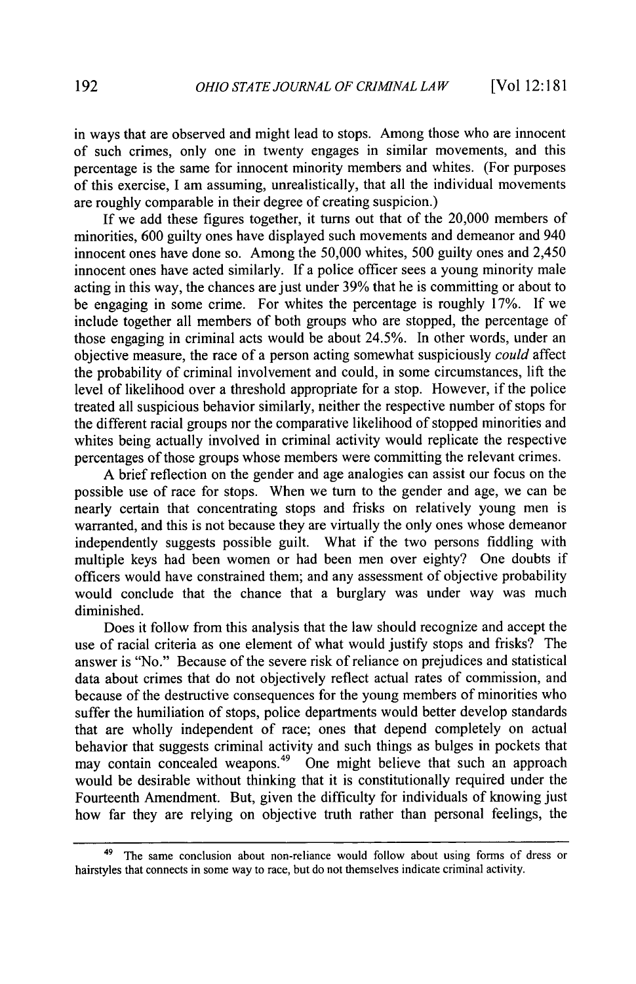in ways that are observed and might lead to stops. Among those who are innocent of such crimes, only one in twenty engages in similar movements, and this percentage is the same for innocent minority members and whites. (For purposes of this exercise, I am assuming, unrealistically, that all the individual movements are roughly comparable in their degree of creating suspicion.)

If we add these figures together, it turns out that of the 20,000 members of minorities, 600 guilty ones have displayed such movements and demeanor and 940 innocent ones have done so. Among the 50,000 whites, 500 guilty ones and 2,450 innocent ones have acted similarly. If a police officer sees a young minority male acting in this way, the chances are just under 39% that he is committing or about to be engaging in some crime. For whites the percentage is roughly 17%. If we include together all members of both groups who are stopped, the percentage of those engaging in criminal acts would be about 24.5%. In other words, under an objective measure, the race of a person acting somewhat suspiciously *could* affect the probability of criminal involvement and could, in some circumstances, lift the level of likelihood over a threshold appropriate for a stop. However, if the police treated all suspicious behavior similarly, neither the respective number of stops for the different racial groups nor the comparative likelihood of stopped minorities and whites being actually involved in criminal activity would replicate the respective percentages of those groups whose members were committing the relevant crimes.

A brief reflection on the gender and age analogies can assist our focus on the possible use of race for stops. When we turn to the gender and age, we can be nearly certain that concentrating stops and frisks on relatively young men is warranted, and this is not because they are virtually the only ones whose demeanor independently suggests possible guilt. What if the two persons fiddling with multiple keys had been women or had been men over eighty? One doubts if officers would have constrained them; and any assessment of objective probability would conclude that the chance that a burglary was under way was much diminished.

Does it follow from this analysis that the law should recognize and accept the use of racial criteria as one element of what would justify stops and frisks? The answer is "No." Because of the severe risk of reliance on prejudices and statistical data about crimes that do not objectively reflect actual rates of commission, and because of the destructive consequences for the young members of minorities who suffer the humiliation of stops, police departments would better develop standards that are wholly independent of race; ones that depend completely on actual behavior that suggests criminal activity and such things as bulges in pockets that may contain concealed weapons.<sup>49</sup> One might believe that such an approach would be desirable without thinking that it is constitutionally required under the Fourteenth Amendment. But, given the difficulty for individuals of knowing just how far they are relying on objective truth rather than personal feelings, the

The same conclusion about non-reliance would follow about using forms of dress or hairstyles that connects in some way to race, but do not themselves indicate criminal activity.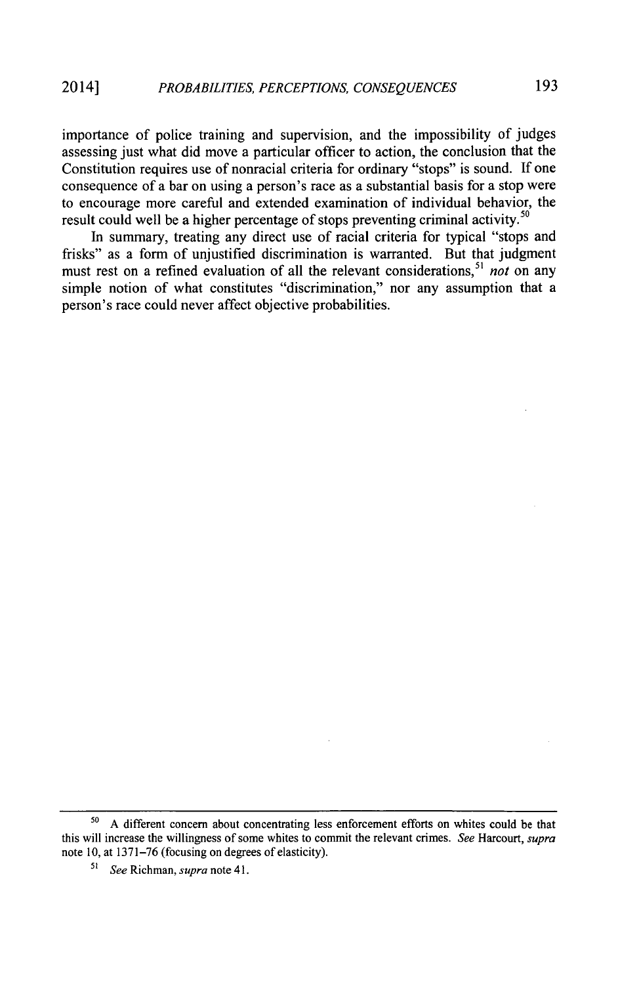importance of police training and supervision, and the impossibility of judges assessing just what did move a particular officer to action, the conclusion that the Constitution requires use of nonracial criteria for ordinary "stops" is sound. If one consequence of a bar on using a person's race as a substantial basis for a stop were to encourage more careful and extended examination of individual behavior, the result could well be a higher percentage of stops preventing criminal activity.<sup>50</sup>

In summary, treating any direct use of racial criteria for typical "stops and frisks" as a form of unjustified discrimination is warranted. But that judgment must rest on a refined evaluation of all the relevant considerations,<sup>51</sup> *not* on any simple notion of what constitutes "discrimination," nor any assumption that a person's race could never affect objective probabilities.

**<sup>50</sup>** A different concern about concentrating less enforcement efforts on whites could be that this will increase the willingness of some whites to commit the relevant crimes. *See* Harcourt, *supra* note 10, at 1371-76 (focusing on degrees of elasticity).

*<sup>51</sup> See* Richman, *supra* note 41.